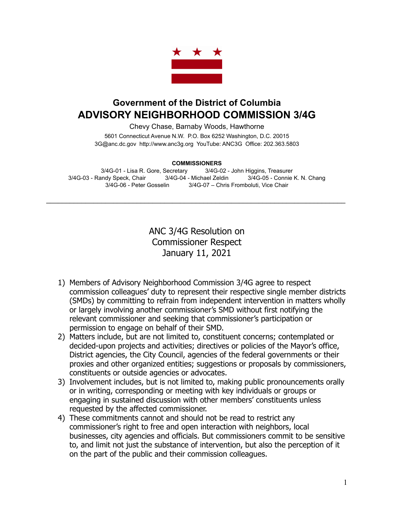

## **Government of the District of Columbia ADVISORY NEIGHBORHOOD COMMISSION 3/4G**

Chevy Chase, Barnaby Woods, Hawthorne

5601 Connecticut Avenue N.W. P.O. Box 6252 Washington, D.C. 20015 3G@anc.dc.gov <http://www.anc3g.org>YouTube: ANC3G Office: 202.363.5803

## **COMMISSIONERS**

3/4G-01 - Lisa R. Gore, Secretary 3/4G-02 - John Higgins, Treasurer 3/4G-03 - Randy Speck, Chair 3/4G-04 - Michael Zeldin 3/4G-05 - Connie K. N. Chang 3/4G-06 - Peter Gosselin 3/4G-07 – Chris Fromboluti, Vice Chair

\_\_\_\_\_\_\_\_\_\_\_\_\_\_\_\_\_\_\_\_\_\_\_\_\_\_\_\_\_\_\_\_\_\_\_\_\_\_\_\_\_\_\_\_\_\_\_\_\_\_\_\_\_\_\_\_\_\_\_\_\_\_\_\_\_\_\_\_\_\_\_\_\_\_\_\_

ANC 3/4G Resolution on Commissioner Respect January 11, 2021

- 1) Members of Advisory Neighborhood Commission 3/4G agree to respect commission colleagues' duty to represent their respective single member districts (SMDs) by committing to refrain from independent intervention in matters wholly or largely involving another commissioner's SMD without first notifying the relevant commissioner and seeking that commissioner's participation or permission to engage on behalf of their SMD.
- 2) Matters include, but are not limited to, constituent concerns; contemplated or decided-upon projects and activities; directives or policies of the Mayor's office, District agencies, the City Council, agencies of the federal governments or their proxies and other organized entities; suggestions or proposals by commissioners, constituents or outside agencies or advocates.
- 3) Involvement includes, but is not limited to, making public pronouncements orally or in writing, corresponding or meeting with key individuals or groups or engaging in sustained discussion with other members' constituents unless requested by the affected commissioner.
- 4) These commitments cannot and should not be read to restrict any commissioner's right to free and open interaction with neighbors, local businesses, city agencies and officials. But commissioners commit to be sensitive to, and limit not just the substance of intervention, but also the perception of it on the part of the public and their commission colleagues.